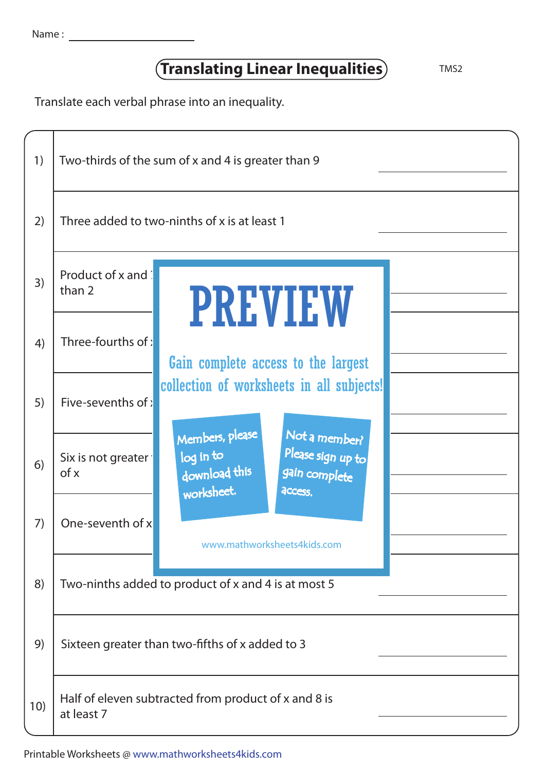| Name |  |  |
|------|--|--|
|      |  |  |

## **Translating Linear Inequalities** TMS2

Translate each verbal phrase into an inequality.